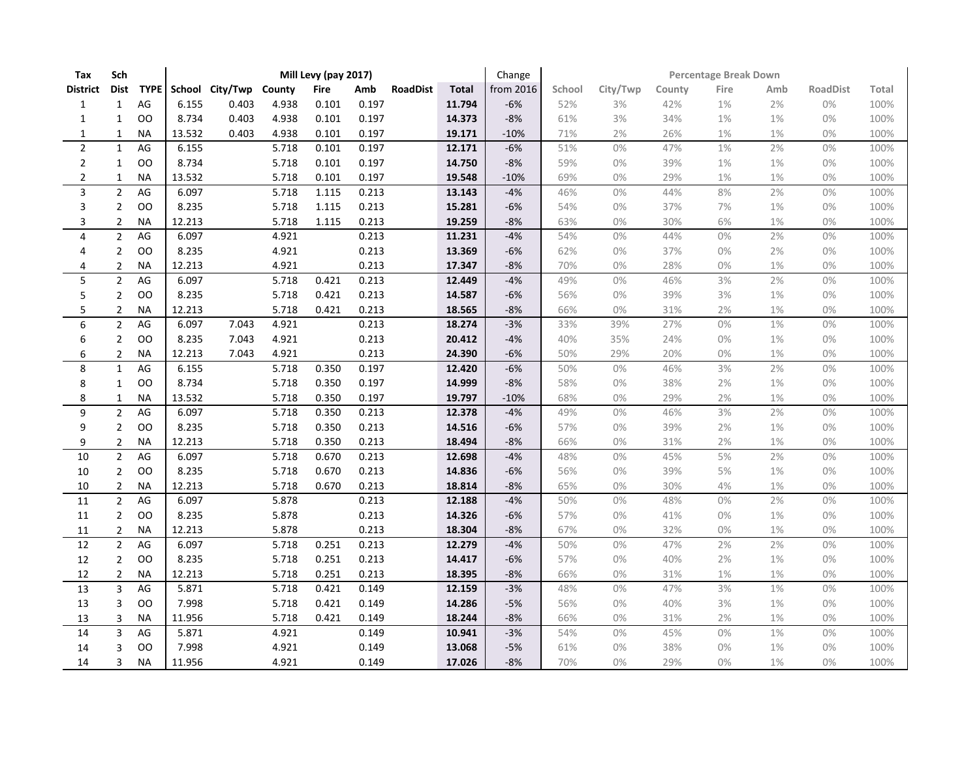| Tax                     | Sch            |             |        |                        |       | Mill Levy (pay 2017) |       |                 |              | Change    | <b>Percentage Break Down</b> |          |        |       |       |                 |       |  |
|-------------------------|----------------|-------------|--------|------------------------|-------|----------------------|-------|-----------------|--------------|-----------|------------------------------|----------|--------|-------|-------|-----------------|-------|--|
| <b>District</b>         | <b>Dist</b>    | <b>TYPE</b> |        | School City/Twp County |       | <b>Fire</b>          | Amb   | <b>RoadDist</b> | <b>Total</b> | from 2016 | School                       | City/Twp | County | Fire  | Amb   | <b>RoadDist</b> | Total |  |
| $\mathbf{1}$            | $\mathbf{1}$   | AG          | 6.155  | 0.403                  | 4.938 | 0.101                | 0.197 |                 | 11.794       | $-6%$     | 52%                          | 3%       | 42%    | 1%    | 2%    | $0\%$           | 100%  |  |
| $\mathbf{1}$            | $\mathbf{1}$   | <b>OO</b>   | 8.734  | 0.403                  | 4.938 | 0.101                | 0.197 |                 | 14.373       | $-8%$     | 61%                          | 3%       | 34%    | 1%    | 1%    | 0%              | 100%  |  |
| $\mathbf{1}$            | $\mathbf{1}$   | <b>NA</b>   | 13.532 | 0.403                  | 4.938 | 0.101                | 0.197 |                 | 19.171       | $-10%$    | 71%                          | 2%       | 26%    | 1%    | 1%    | 0%              | 100%  |  |
| $\mathbf 2$             | $\mathbf 1$    | AG          | 6.155  |                        | 5.718 | 0.101                | 0.197 |                 | 12.171       | $-6%$     | 51%                          | 0%       | 47%    | 1%    | 2%    | 0%              | 100%  |  |
| $\overline{2}$          | $\mathbf{1}$   | <b>OO</b>   | 8.734  |                        | 5.718 | 0.101                | 0.197 |                 | 14.750       | $-8%$     | 59%                          | 0%       | 39%    | 1%    | 1%    | 0%              | 100%  |  |
| $\overline{2}$          | $\mathbf{1}$   | <b>NA</b>   | 13.532 |                        | 5.718 | 0.101                | 0.197 |                 | 19.548       | $-10%$    | 69%                          | 0%       | 29%    | $1\%$ | 1%    | 0%              | 100%  |  |
| $\overline{\mathbf{3}}$ | $\overline{2}$ | AG          | 6.097  |                        | 5.718 | 1.115                | 0.213 |                 | 13.143       | $-4%$     | 46%                          | 0%       | 44%    | 8%    | 2%    | $0\%$           | 100%  |  |
| 3                       | $\overline{2}$ | OO          | 8.235  |                        | 5.718 | 1.115                | 0.213 |                 | 15.281       | $-6%$     | 54%                          | 0%       | 37%    | 7%    | 1%    | 0%              | 100%  |  |
| 3                       | $\overline{2}$ | <b>NA</b>   | 12.213 |                        | 5.718 | 1.115                | 0.213 |                 | 19.259       | $-8%$     | 63%                          | 0%       | 30%    | 6%    | 1%    | 0%              | 100%  |  |
| $\overline{4}$          | $\overline{2}$ | AG          | 6.097  |                        | 4.921 |                      | 0.213 |                 | 11.231       | $-4%$     | 54%                          | 0%       | 44%    | $0\%$ | 2%    | 0%              | 100%  |  |
| 4                       | $\overline{2}$ | <b>OO</b>   | 8.235  |                        | 4.921 |                      | 0.213 |                 | 13.369       | $-6%$     | 62%                          | 0%       | 37%    | 0%    | 2%    | 0%              | 100%  |  |
| 4                       | $\overline{2}$ | <b>NA</b>   | 12.213 |                        | 4.921 |                      | 0.213 |                 | 17.347       | $-8%$     | 70%                          | 0%       | 28%    | 0%    | $1\%$ | 0%              | 100%  |  |
| 5                       | $\overline{2}$ | AG          | 6.097  |                        | 5.718 | 0.421                | 0.213 |                 | 12.449       | $-4%$     | 49%                          | 0%       | 46%    | 3%    | 2%    | $0\%$           | 100%  |  |
| 5                       | $\overline{2}$ | OO          | 8.235  |                        | 5.718 | 0.421                | 0.213 |                 | 14.587       | $-6%$     | 56%                          | 0%       | 39%    | 3%    | 1%    | 0%              | 100%  |  |
| 5                       | $\mathbf 2$    | <b>NA</b>   | 12.213 |                        | 5.718 | 0.421                | 0.213 |                 | 18.565       | $-8%$     | 66%                          | 0%       | 31%    | 2%    | 1%    | $0\%$           | 100%  |  |
| 6                       | $\overline{2}$ | AG          | 6.097  | 7.043                  | 4.921 |                      | 0.213 |                 | 18.274       | $-3%$     | 33%                          | 39%      | 27%    | 0%    | 1%    | 0%              | 100%  |  |
| 6                       | $\overline{2}$ | <b>OO</b>   | 8.235  | 7.043                  | 4.921 |                      | 0.213 |                 | 20.412       | $-4%$     | 40%                          | 35%      | 24%    | $0\%$ | 1%    | 0%              | 100%  |  |
| 6                       | $\overline{2}$ | NА          | 12.213 | 7.043                  | 4.921 |                      | 0.213 |                 | 24.390       | $-6%$     | 50%                          | 29%      | 20%    | 0%    | 1%    | 0%              | 100%  |  |
| 8                       | $\mathbf{1}$   | AG          | 6.155  |                        | 5.718 | 0.350                | 0.197 |                 | 12.420       | $-6%$     | 50%                          | 0%       | 46%    | 3%    | 2%    | 0%              | 100%  |  |
| 8                       | $\mathbf{1}$   | OO          | 8.734  |                        | 5.718 | 0.350                | 0.197 |                 | 14.999       | $-8%$     | 58%                          | 0%       | 38%    | 2%    | 1%    | 0%              | 100%  |  |
| 8                       | $\mathbf{1}$   | <b>NA</b>   | 13.532 |                        | 5.718 | 0.350                | 0.197 |                 | 19.797       | $-10%$    | 68%                          | 0%       | 29%    | 2%    | $1\%$ | $0\%$           | 100%  |  |
| 9                       | $\overline{2}$ | AG          | 6.097  |                        | 5.718 | 0.350                | 0.213 |                 | 12.378       | $-4%$     | 49%                          | 0%       | 46%    | 3%    | 2%    | $0\%$           | 100%  |  |
| 9                       | $\overline{2}$ | OO          | 8.235  |                        | 5.718 | 0.350                | 0.213 |                 | 14.516       | $-6%$     | 57%                          | 0%       | 39%    | 2%    | $1\%$ | 0%              | 100%  |  |
| 9                       | $\overline{2}$ | <b>NA</b>   | 12.213 |                        | 5.718 | 0.350                | 0.213 |                 | 18.494       | $-8%$     | 66%                          | 0%       | 31%    | 2%    | 1%    | 0%              | 100%  |  |
| 10                      | $\overline{2}$ | AG          | 6.097  |                        | 5.718 | 0.670                | 0.213 |                 | 12.698       | $-4%$     | 48%                          | 0%       | 45%    | 5%    | 2%    | 0%              | 100%  |  |
| $10\,$                  | $\overline{2}$ | OO          | 8.235  |                        | 5.718 | 0.670                | 0.213 |                 | 14.836       | $-6%$     | 56%                          | 0%       | 39%    | $5\%$ | 1%    | $0\%$           | 100%  |  |
| $10\,$                  | $\overline{2}$ | <b>NA</b>   | 12.213 |                        | 5.718 | 0.670                | 0.213 |                 | 18.814       | $-8%$     | 65%                          | 0%       | 30%    | 4%    | 1%    | 0%              | 100%  |  |
| 11                      | $\overline{2}$ | AG          | 6.097  |                        | 5.878 |                      | 0.213 |                 | 12.188       | $-4%$     | 50%                          | 0%       | 48%    | 0%    | 2%    | 0%              | 100%  |  |
| 11                      | $\overline{2}$ | OO          | 8.235  |                        | 5.878 |                      | 0.213 |                 | 14.326       | $-6%$     | 57%                          | 0%       | 41%    | 0%    | 1%    | 0%              | 100%  |  |
| 11                      | $\overline{2}$ | <b>NA</b>   | 12.213 |                        | 5.878 |                      | 0.213 |                 | 18.304       | $-8%$     | 67%                          | 0%       | 32%    | 0%    | 1%    | 0%              | 100%  |  |
| 12                      | $\overline{2}$ | AG          | 6.097  |                        | 5.718 | 0.251                | 0.213 |                 | 12.279       | $-4%$     | 50%                          | 0%       | 47%    | 2%    | 2%    | 0%              | 100%  |  |
| 12                      | $\overline{2}$ | <b>OO</b>   | 8.235  |                        | 5.718 | 0.251                | 0.213 |                 | 14.417       | $-6%$     | 57%                          | 0%       | 40%    | 2%    | $1\%$ | $0\%$           | 100%  |  |
| 12                      | $\overline{2}$ | <b>NA</b>   | 12.213 |                        | 5.718 | 0.251                | 0.213 |                 | 18.395       | $-8%$     | 66%                          | 0%       | 31%    | $1\%$ | $1\%$ | 0%              | 100%  |  |
| 13                      | 3              | AG          | 5.871  |                        | 5.718 | 0.421                | 0.149 |                 | 12.159       | $-3%$     | 48%                          | 0%       | 47%    | 3%    | 1%    | 0%              | 100%  |  |
| 13                      | 3              | <b>OO</b>   | 7.998  |                        | 5.718 | 0.421                | 0.149 |                 | 14.286       | $-5%$     | 56%                          | 0%       | 40%    | 3%    | 1%    | 0%              | 100%  |  |
| 13                      | 3              | <b>NA</b>   | 11.956 |                        | 5.718 | 0.421                | 0.149 |                 | 18.244       | $-8%$     | 66%                          | 0%       | 31%    | 2%    | $1\%$ | $0\%$           | 100%  |  |
| 14                      | 3              | $AG$        | 5.871  |                        | 4.921 |                      | 0.149 |                 | 10.941       | $-3%$     | 54%                          | 0%       | 45%    | 0%    | 1%    | 0%              | 100%  |  |
| 14                      | 3              | <b>OO</b>   | 7.998  |                        | 4.921 |                      | 0.149 |                 | 13.068       | $-5%$     | 61%                          | 0%       | 38%    | 0%    | 1%    | 0%              | 100%  |  |
| 14                      | 3              | <b>NA</b>   | 11.956 |                        | 4.921 |                      | 0.149 |                 | 17.026       | $-8%$     | 70%                          | 0%       | 29%    | 0%    | 1%    | 0%              | 100%  |  |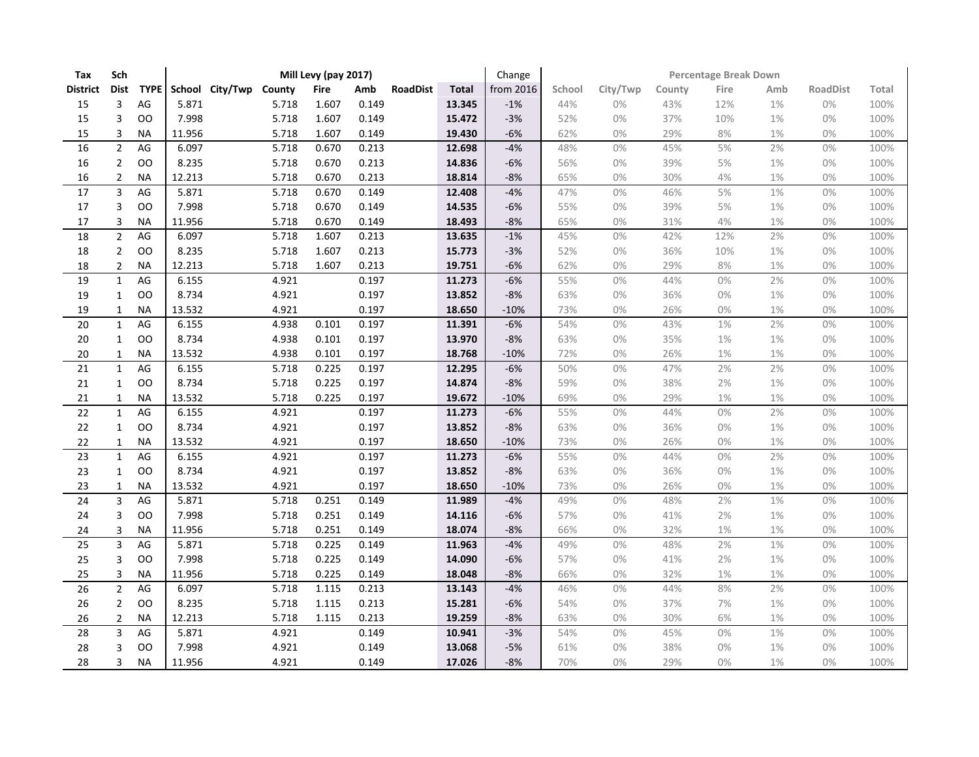| Tax             | Sch            |             |                        |       | Mill Levy (pay 2017) |       |                 |              | Change    | <b>Percentage Break Down</b> |          |        |       |       |                 |       |  |
|-----------------|----------------|-------------|------------------------|-------|----------------------|-------|-----------------|--------------|-----------|------------------------------|----------|--------|-------|-------|-----------------|-------|--|
| <b>District</b> | <b>Dist</b>    | <b>TYPE</b> | School City/Twp County |       | <b>Fire</b>          | Amb   | <b>RoadDist</b> | <b>Total</b> | from 2016 | School                       | City/Twp | County | Fire  | Amb   | <b>RoadDist</b> | Total |  |
| 15              | 3              | AG          | 5.871                  | 5.718 | 1.607                | 0.149 |                 | 13.345       | $-1%$     | 44%                          | 0%       | 43%    | 12%   | 1%    | 0%              | 100%  |  |
| 15              | 3              | <b>OO</b>   | 7.998                  | 5.718 | 1.607                | 0.149 |                 | 15.472       | $-3%$     | 52%                          | 0%       | 37%    | 10%   | 1%    | 0%              | 100%  |  |
| 15              | 3              | <b>NA</b>   | 11.956                 | 5.718 | 1.607                | 0.149 |                 | 19.430       | $-6%$     | 62%                          | 0%       | 29%    | 8%    | 1%    | 0%              | 100%  |  |
| 16              | $\overline{2}$ | AG          | 6.097                  | 5.718 | 0.670                | 0.213 |                 | 12.698       | $-4%$     | 48%                          | 0%       | 45%    | 5%    | 2%    | 0%              | 100%  |  |
| 16              | $\overline{2}$ | <b>OO</b>   | 8.235                  | 5.718 | 0.670                | 0.213 |                 | 14.836       | $-6%$     | 56%                          | 0%       | 39%    | 5%    | 1%    | 0%              | 100%  |  |
| 16              | $\overline{2}$ | <b>NA</b>   | 12.213                 | 5.718 | 0.670                | 0.213 |                 | 18.814       | $-8%$     | 65%                          | 0%       | 30%    | 4%    | 1%    | $0\%$           | 100%  |  |
| 17              | 3              | AG          | 5.871                  | 5.718 | 0.670                | 0.149 |                 | 12.408       | $-4%$     | 47%                          | 0%       | 46%    | 5%    | 1%    | $0\%$           | 100%  |  |
| $17\,$          | 3              | OO          | 7.998                  | 5.718 | 0.670                | 0.149 |                 | 14.535       | $-6%$     | 55%                          | 0%       | 39%    | 5%    | 1%    | 0%              | 100%  |  |
| 17              | 3              | <b>NA</b>   | 11.956                 | 5.718 | 0.670                | 0.149 |                 | 18.493       | $-8%$     | 65%                          | 0%       | 31%    | $4%$  | 1%    | 0%              | 100%  |  |
| 18              | $\overline{2}$ | AG          | 6.097                  | 5.718 | 1.607                | 0.213 |                 | 13.635       | $-1%$     | 45%                          | 0%       | 42%    | 12%   | 2%    | 0%              | 100%  |  |
| 18              | $\overline{2}$ | <b>OO</b>   | 8.235                  | 5.718 | 1.607                | 0.213 |                 | 15.773       | $-3%$     | 52%                          | 0%       | 36%    | 10%   | 1%    | 0%              | 100%  |  |
| 18              | $\overline{2}$ | <b>NA</b>   | 12.213                 | 5.718 | 1.607                | 0.213 |                 | 19.751       | $-6%$     | 62%                          | 0%       | 29%    | $8%$  | $1\%$ | $0\%$           | 100%  |  |
| 19              | $\mathbf{1}$   | AG          | 6.155                  | 4.921 |                      | 0.197 |                 | 11.273       | $-6%$     | 55%                          | 0%       | 44%    | 0%    | 2%    | $0\%$           | 100%  |  |
| 19              | $\mathbf{1}$   | OO          | 8.734                  | 4.921 |                      | 0.197 |                 | 13.852       | $-8%$     | 63%                          | 0%       | 36%    | 0%    | 1%    | 0%              | 100%  |  |
| 19              | $\mathbf{1}$   | <b>NA</b>   | 13.532                 | 4.921 |                      | 0.197 |                 | 18.650       | $-10%$    | 73%                          | 0%       | 26%    | $0\%$ | 1%    | $0\%$           | 100%  |  |
| 20              | $\mathbf{1}$   | AG          | 6.155                  | 4.938 | 0.101                | 0.197 |                 | 11.391       | $-6%$     | 54%                          | 0%       | 43%    | 1%    | 2%    | 0%              | 100%  |  |
| $20\,$          | $\mathbf{1}$   | <b>OO</b>   | 8.734                  | 4.938 | 0.101                | 0.197 |                 | 13.970       | $-8%$     | 63%                          | 0%       | 35%    | 1%    | 1%    | 0%              | 100%  |  |
| 20              | $\mathbf{1}$   | NА          | 13.532                 | 4.938 | 0.101                | 0.197 |                 | 18.768       | $-10%$    | 72%                          | 0%       | 26%    | 1%    | 1%    | 0%              | 100%  |  |
| $\overline{21}$ | $\mathbf{1}$   | AG          | 6.155                  | 5.718 | 0.225                | 0.197 |                 | 12.295       | $-6%$     | 50%                          | 0%       | 47%    | 2%    | 2%    | 0%              | 100%  |  |
| 21              | 1              | OO          | 8.734                  | 5.718 | 0.225                | 0.197 |                 | 14.874       | $-8%$     | 59%                          | 0%       | 38%    | 2%    | 1%    | 0%              | 100%  |  |
| 21              | $\mathbf{1}$   | <b>NA</b>   | 13.532                 | 5.718 | 0.225                | 0.197 |                 | 19.672       | $-10%$    | 69%                          | 0%       | 29%    | $1\%$ | $1\%$ | 0%              | 100%  |  |
| 22              | $\mathbf{1}$   | AG          | 6.155                  | 4.921 |                      | 0.197 |                 | 11.273       | $-6%$     | 55%                          | 0%       | 44%    | 0%    | 2%    | 0%              | 100%  |  |
| 22              | $\mathbf{1}$   | OO          | 8.734                  | 4.921 |                      | 0.197 |                 | 13.852       | $-8%$     | 63%                          | 0%       | 36%    | $0\%$ | $1\%$ | 0%              | 100%  |  |
| 22              | $\mathbf{1}$   | <b>NA</b>   | 13.532                 | 4.921 |                      | 0.197 |                 | 18.650       | $-10%$    | 73%                          | 0%       | 26%    | 0%    | 1%    | 0%              | 100%  |  |
| 23              | $\mathbf{1}$   | AG          | 6.155                  | 4.921 |                      | 0.197 |                 | 11.273       | $-6%$     | 55%                          | 0%       | 44%    | 0%    | 2%    | 0%              | 100%  |  |
| 23              | $\mathbf{1}$   | OO          | 8.734                  | 4.921 |                      | 0.197 |                 | 13.852       | $-8%$     | 63%                          | 0%       | 36%    | $0\%$ | 1%    | 0%              | 100%  |  |
| 23              | $\mathbf{1}$   | <b>NA</b>   | 13.532                 | 4.921 |                      | 0.197 |                 | 18.650       | $-10%$    | 73%                          | 0%       | 26%    | 0%    | 1%    | 0%              | 100%  |  |
| 24              | 3              | AG          | 5.871                  | 5.718 | 0.251                | 0.149 |                 | 11.989       | $-4%$     | 49%                          | 0%       | 48%    | 2%    | 1%    | 0%              | 100%  |  |
| 24              | 3              | OO          | 7.998                  | 5.718 | 0.251                | 0.149 |                 | 14.116       | $-6%$     | 57%                          | 0%       | 41%    | 2%    | 1%    | 0%              | 100%  |  |
| 24              | 3              | <b>NA</b>   | 11.956                 | 5.718 | 0.251                | 0.149 |                 | 18.074       | $-8%$     | 66%                          | 0%       | 32%    | 1%    | 1%    | 0%              | 100%  |  |
| 25              | 3              | AG          | 5.871                  | 5.718 | 0.225                | 0.149 |                 | 11.963       | $-4%$     | 49%                          | 0%       | 48%    | 2%    | 1%    | 0%              | 100%  |  |
| 25              | 3              | OO          | 7.998                  | 5.718 | 0.225                | 0.149 |                 | 14.090       | $-6%$     | 57%                          | 0%       | 41%    | 2%    | $1\%$ | $0\%$           | 100%  |  |
| 25              | 3              | <b>NA</b>   | 11.956                 | 5.718 | 0.225                | 0.149 |                 | 18.048       | $-8%$     | 66%                          | 0%       | 32%    | 1%    | $1\%$ | 0%              | 100%  |  |
| 26              | $\overline{2}$ | AG          | 6.097                  | 5.718 | 1.115                | 0.213 |                 | 13.143       | $-4%$     | 46%                          | 0%       | 44%    | 8%    | 2%    | 0%              | 100%  |  |
| 26              | $\overline{2}$ | <b>OO</b>   | 8.235                  | 5.718 | 1.115                | 0.213 |                 | 15.281       | $-6%$     | 54%                          | 0%       | 37%    | 7%    | 1%    | 0%              | 100%  |  |
| 26              | $\overline{2}$ | <b>NA</b>   | 12.213                 | 5.718 | 1.115                | 0.213 |                 | 19.259       | $-8%$     | 63%                          | 0%       | 30%    | 6%    | $1\%$ | $0\%$           | 100%  |  |
| 28              | 3              | AG          | 5.871                  | 4.921 |                      | 0.149 |                 | 10.941       | $-3%$     | 54%                          | 0%       | 45%    | 0%    | 1%    | 0%              | 100%  |  |
| 28              | 3              | <b>OO</b>   | 7.998                  | 4.921 |                      | 0.149 |                 | 13.068       | $-5%$     | 61%                          | 0%       | 38%    | 0%    | 1%    | 0%              | 100%  |  |
| 28              | 3              | <b>NA</b>   | 11.956                 | 4.921 |                      | 0.149 |                 | 17.026       | $-8%$     | 70%                          | 0%       | 29%    | 0%    | 1%    | 0%              | 100%  |  |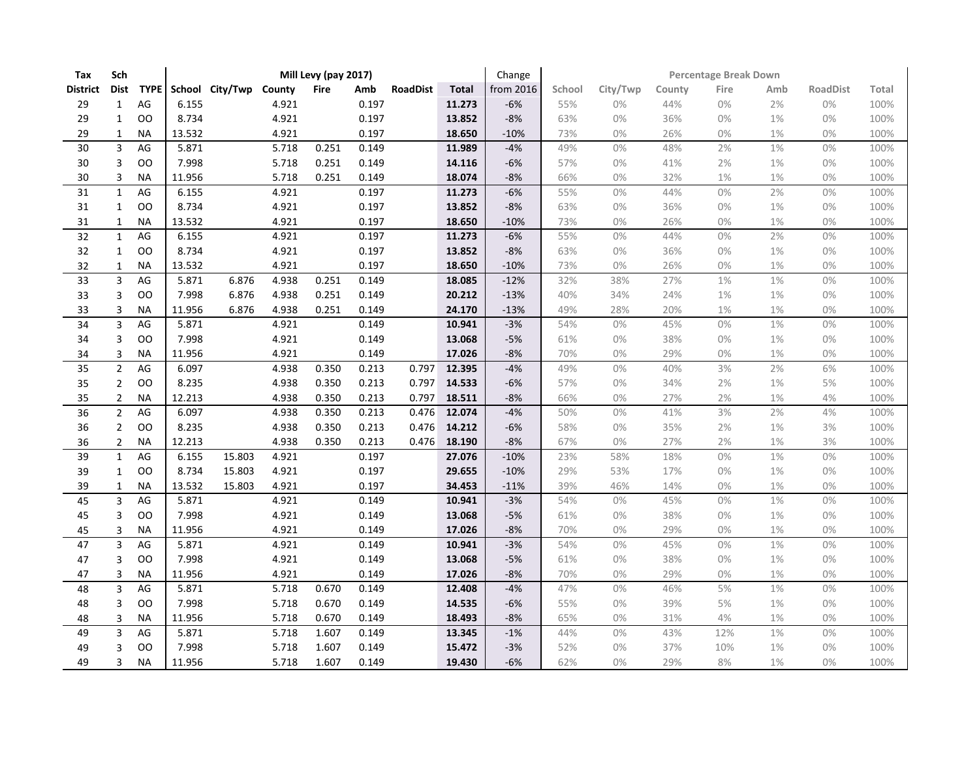| Tax             | Sch                     |             |        |                        |       | Mill Levy (pay 2017) |       |                 |              | Change    | Percentage Break Down |          |        |       |       |                 |       |  |
|-----------------|-------------------------|-------------|--------|------------------------|-------|----------------------|-------|-----------------|--------------|-----------|-----------------------|----------|--------|-------|-------|-----------------|-------|--|
| <b>District</b> | <b>Dist</b>             | <b>TYPE</b> |        | School City/Twp County |       | <b>Fire</b>          | Amb   | <b>RoadDist</b> | <b>Total</b> | from 2016 | School                | City/Twp | County | Fire  | Amb   | <b>RoadDist</b> | Total |  |
| 29              | $\mathbf{1}$            | AG          | 6.155  |                        | 4.921 |                      | 0.197 |                 | 11.273       | $-6%$     | 55%                   | 0%       | 44%    | 0%    | 2%    | 0%              | 100%  |  |
| 29              | $\mathbf{1}$            | <b>OO</b>   | 8.734  |                        | 4.921 |                      | 0.197 |                 | 13.852       | $-8%$     | 63%                   | 0%       | 36%    | 0%    | 1%    | 0%              | 100%  |  |
| 29              | $\mathbf{1}$            | <b>NA</b>   | 13.532 |                        | 4.921 |                      | 0.197 |                 | 18.650       | $-10%$    | 73%                   | 0%       | 26%    | 0%    | 1%    | 0%              | 100%  |  |
| 30              | $\overline{\mathbf{3}}$ | AG          | 5.871  |                        | 5.718 | 0.251                | 0.149 |                 | 11.989       | $-4%$     | 49%                   | 0%       | 48%    | 2%    | 1%    | 0%              | 100%  |  |
| 30              | 3                       | <b>OO</b>   | 7.998  |                        | 5.718 | 0.251                | 0.149 |                 | 14.116       | $-6%$     | 57%                   | 0%       | 41%    | 2%    | 1%    | 0%              | 100%  |  |
| $30\,$          | 3                       | <b>NA</b>   | 11.956 |                        | 5.718 | 0.251                | 0.149 |                 | 18.074       | $-8%$     | 66%                   | 0%       | 32%    | 1%    | 1%    | 0%              | 100%  |  |
| $\overline{31}$ | $\mathbf{1}$            | AG          | 6.155  |                        | 4.921 |                      | 0.197 |                 | 11.273       | $-6%$     | 55%                   | 0%       | 44%    | 0%    | 2%    | 0%              | 100%  |  |
| 31              | $\mathbf{1}$            | OO          | 8.734  |                        | 4.921 |                      | 0.197 |                 | 13.852       | $-8%$     | 63%                   | 0%       | 36%    | 0%    | 1%    | 0%              | 100%  |  |
| 31              | $\mathbf{1}$            | <b>NA</b>   | 13.532 |                        | 4.921 |                      | 0.197 |                 | 18.650       | $-10%$    | 73%                   | 0%       | 26%    | $0\%$ | 1%    | $0\%$           | 100%  |  |
| 32              | $\mathbf{1}$            | AG          | 6.155  |                        | 4.921 |                      | 0.197 |                 | 11.273       | $-6%$     | 55%                   | 0%       | 44%    | 0%    | 2%    | $0\%$           | 100%  |  |
| 32              | $\mathbf{1}$            | OO          | 8.734  |                        | 4.921 |                      | 0.197 |                 | 13.852       | $-8%$     | 63%                   | 0%       | 36%    | $0\%$ | 1%    | 0%              | 100%  |  |
| 32              | $\mathbf{1}$            | <b>NA</b>   | 13.532 |                        | 4.921 |                      | 0.197 |                 | 18.650       | $-10%$    | 73%                   | 0%       | 26%    | 0%    | 1%    | 0%              | 100%  |  |
| 33              | $\overline{3}$          | AG          | 5.871  | 6.876                  | 4.938 | 0.251                | 0.149 |                 | 18.085       | $-12%$    | 32%                   | 38%      | 27%    | 1%    | 1%    | $0\%$           | 100%  |  |
| 33              | 3                       | OO          | 7.998  | 6.876                  | 4.938 | 0.251                | 0.149 |                 | 20.212       | $-13%$    | 40%                   | 34%      | 24%    | $1\%$ | 1%    | 0%              | 100%  |  |
| 33              | 3                       | <b>NA</b>   | 11.956 | 6.876                  | 4.938 | 0.251                | 0.149 |                 | 24.170       | $-13%$    | 49%                   | 28%      | 20%    | $1\%$ | $1\%$ | $0\%$           | 100%  |  |
| 34              | 3                       | AG          | 5.871  |                        | 4.921 |                      | 0.149 |                 | 10.941       | $-3%$     | 54%                   | 0%       | 45%    | 0%    | 1%    | 0%              | 100%  |  |
| 34              | 3                       | OO          | 7.998  |                        | 4.921 |                      | 0.149 |                 | 13.068       | $-5%$     | 61%                   | 0%       | 38%    | $0\%$ | 1%    | 0%              | 100%  |  |
| 34              | 3                       | NА          | 11.956 |                        | 4.921 |                      | 0.149 |                 | 17.026       | $-8%$     | 70%                   | 0%       | 29%    | 0%    | 1%    | 0%              | 100%  |  |
| 35              | $\overline{2}$          | AG          | 6.097  |                        | 4.938 | 0.350                | 0.213 | 0.797           | 12.395       | $-4%$     | 49%                   | 0%       | 40%    | 3%    | 2%    | 6%              | 100%  |  |
| 35              | $\overline{2}$          | OO          | 8.235  |                        | 4.938 | 0.350                | 0.213 | 0.797           | 14.533       | $-6%$     | 57%                   | 0%       | 34%    | 2%    | 1%    | $5%$            | 100%  |  |
| 35              | $\overline{2}$          | <b>NA</b>   | 12.213 |                        | 4.938 | 0.350                | 0.213 | 0.797           | 18.511       | $-8%$     | 66%                   | 0%       | 27%    | 2%    | $1\%$ | $4\%$           | 100%  |  |
| $\overline{36}$ | $\overline{2}$          | AG          | 6.097  |                        | 4.938 | 0.350                | 0.213 | 0.476           | 12.074       | $-4%$     | 50%                   | 0%       | 41%    | 3%    | 2%    | 4%              | 100%  |  |
| 36              | $\overline{2}$          | OO          | 8.235  |                        | 4.938 | 0.350                | 0.213 | 0.476           | 14.212       | $-6%$     | 58%                   | 0%       | 35%    | 2%    | $1\%$ | 3%              | 100%  |  |
| 36              | $\overline{2}$          | NA          | 12.213 |                        | 4.938 | 0.350                | 0.213 | 0.476           | 18.190       | $-8%$     | 67%                   | 0%       | 27%    | 2%    | $1\%$ | 3%              | 100%  |  |
| 39              | $\mathbf{1}$            | AG          | 6.155  | 15.803                 | 4.921 |                      | 0.197 |                 | 27.076       | $-10%$    | 23%                   | 58%      | 18%    | 0%    | 1%    | $0\%$           | 100%  |  |
| 39              | $\mathbf{1}$            | OO          | 8.734  | 15.803                 | 4.921 |                      | 0.197 |                 | 29.655       | $-10%$    | 29%                   | 53%      | 17%    | $0\%$ | $1\%$ | 0%              | 100%  |  |
| 39              | $\mathbf{1}$            | <b>NA</b>   | 13.532 | 15.803                 | 4.921 |                      | 0.197 |                 | 34.453       | $-11%$    | 39%                   | 46%      | 14%    | 0%    | 1%    | 0%              | 100%  |  |
| 45              | 3                       | AG          | 5.871  |                        | 4.921 |                      | 0.149 |                 | 10.941       | $-3%$     | 54%                   | 0%       | 45%    | 0%    | 1%    | 0%              | 100%  |  |
| 45              | 3                       | OO          | 7.998  |                        | 4.921 |                      | 0.149 |                 | 13.068       | $-5%$     | 61%                   | 0%       | 38%    | 0%    | 1%    | 0%              | 100%  |  |
| 45              | 3                       | <b>NA</b>   | 11.956 |                        | 4.921 |                      | 0.149 |                 | 17.026       | $-8%$     | 70%                   | 0%       | 29%    | 0%    | 1%    | 0%              | 100%  |  |
| 47              | 3                       | AG          | 5.871  |                        | 4.921 |                      | 0.149 |                 | 10.941       | $-3%$     | 54%                   | 0%       | 45%    | 0%    | 1%    | $0\%$           | 100%  |  |
| 47              | 3                       | OO          | 7.998  |                        | 4.921 |                      | 0.149 |                 | 13.068       | $-5%$     | 61%                   | 0%       | 38%    | $0\%$ | $1\%$ | $0\%$           | 100%  |  |
| 47              | 3                       | <b>NA</b>   | 11.956 |                        | 4.921 |                      | 0.149 |                 | 17.026       | $-8%$     | 70%                   | 0%       | 29%    | 0%    | 1%    | 0%              | 100%  |  |
| 48              | $\overline{3}$          | AG          | 5.871  |                        | 5.718 | 0.670                | 0.149 |                 | 12.408       | $-4%$     | 47%                   | 0%       | 46%    | 5%    | 1%    | 0%              | 100%  |  |
| 48              | 3                       | <b>OO</b>   | 7.998  |                        | 5.718 | 0.670                | 0.149 |                 | 14.535       | $-6%$     | 55%                   | 0%       | 39%    | 5%    | 1%    | 0%              | 100%  |  |
| 48              | 3                       | <b>NA</b>   | 11.956 |                        | 5.718 | 0.670                | 0.149 |                 | 18.493       | $-8%$     | 65%                   | 0%       | 31%    | 4%    | $1\%$ | $0\%$           | 100%  |  |
| 49              | 3                       | $AG$        | 5.871  |                        | 5.718 | 1.607                | 0.149 |                 | 13.345       | $-1%$     | 44%                   | 0%       | 43%    | 12%   | 1%    | 0%              | 100%  |  |
| 49              | 3                       | <b>OO</b>   | 7.998  |                        | 5.718 | 1.607                | 0.149 |                 | 15.472       | $-3%$     | 52%                   | 0%       | 37%    | 10%   | 1%    | 0%              | 100%  |  |
| 49              | 3                       | <b>NA</b>   | 11.956 |                        | 5.718 | 1.607                | 0.149 |                 | 19.430       | $-6%$     | 62%                   | 0%       | 29%    | 8%    | $1\%$ | 0%              | 100%  |  |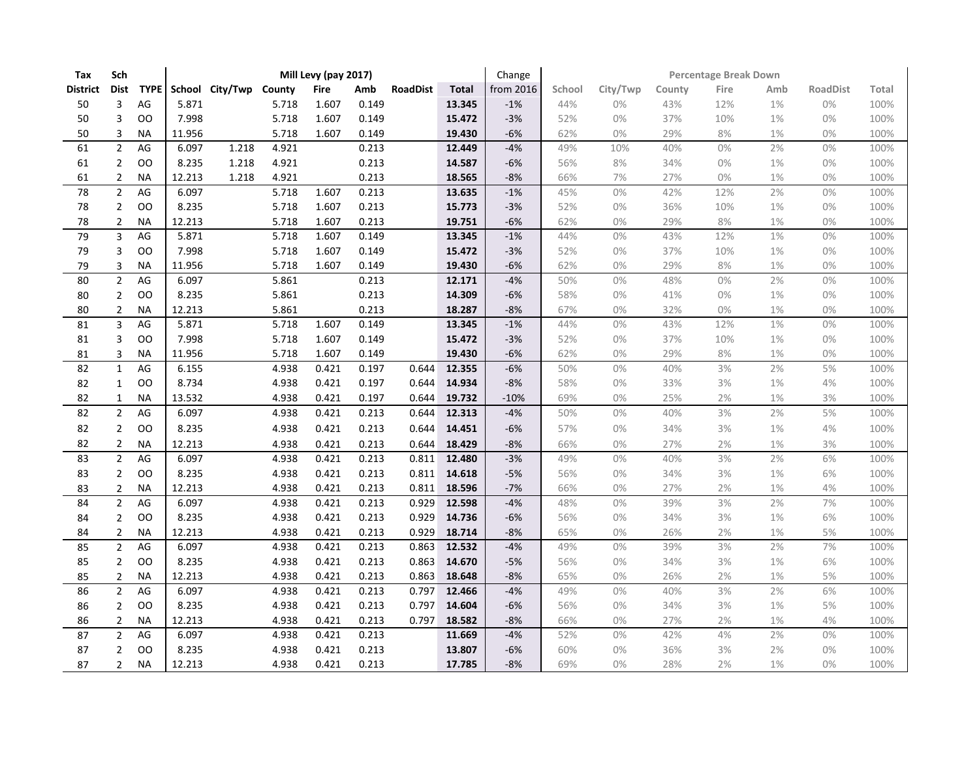| Tax             | Sch            |               |        |                        |       | Mill Levy (pay 2017) |       |                 |              | Change    |        | <b>Percentage Break Down</b> |        |       |       |                 |       |  |  |
|-----------------|----------------|---------------|--------|------------------------|-------|----------------------|-------|-----------------|--------------|-----------|--------|------------------------------|--------|-------|-------|-----------------|-------|--|--|
| District        | Dist           | <b>TYPE</b>   |        | School City/Twp County |       | <b>Fire</b>          | Amb   | <b>RoadDist</b> | <b>Total</b> | from 2016 | School | City/Twp                     | County | Fire  | Amb   | <b>RoadDist</b> | Total |  |  |
| 50              | 3              | $AG$          | 5.871  |                        | 5.718 | 1.607                | 0.149 |                 | 13.345       | $-1%$     | 44%    | 0%                           | 43%    | 12%   | $1\%$ | $0\%$           | 100%  |  |  |
| 50              | 3              | OO            | 7.998  |                        | 5.718 | 1.607                | 0.149 |                 | 15.472       | $-3%$     | 52%    | 0%                           | 37%    | 10%   | 1%    | 0%              | 100%  |  |  |
| 50              | 3              | <b>NA</b>     | 11.956 |                        | 5.718 | 1.607                | 0.149 |                 | 19.430       | $-6%$     | 62%    | 0%                           | 29%    | 8%    | 1%    | 0%              | 100%  |  |  |
| 61              | $\overline{2}$ | AG            | 6.097  | 1.218                  | 4.921 |                      | 0.213 |                 | 12.449       | $-4%$     | 49%    | 10%                          | 40%    | 0%    | 2%    | 0%              | 100%  |  |  |
| 61              | $\overline{2}$ | OO            | 8.235  | 1.218                  | 4.921 |                      | 0.213 |                 | 14.587       | $-6%$     | 56%    | 8%                           | 34%    | 0%    | 1%    | 0%              | 100%  |  |  |
| 61              | $\overline{2}$ | <b>NA</b>     | 12.213 | 1.218                  | 4.921 |                      | 0.213 |                 | 18.565       | $-8%$     | 66%    | 7%                           | 27%    | 0%    | 1%    | 0%              | 100%  |  |  |
| 78              | $\overline{2}$ | AG            | 6.097  |                        | 5.718 | 1.607                | 0.213 |                 | 13.635       | $-1%$     | 45%    | 0%                           | 42%    | 12%   | 2%    | 0%              | 100%  |  |  |
| 78              | $\overline{2}$ | OO            | 8.235  |                        | 5.718 | 1.607                | 0.213 |                 | 15.773       | $-3%$     | 52%    | 0%                           | 36%    | 10%   | 1%    | $0\%$           | 100%  |  |  |
| 78              | $\overline{2}$ | <b>NA</b>     | 12.213 |                        | 5.718 | 1.607                | 0.213 |                 | 19.751       | $-6%$     | 62%    | 0%                           | 29%    | 8%    | 1%    | 0%              | 100%  |  |  |
| $\overline{79}$ | $\overline{3}$ | AG            | 5.871  |                        | 5.718 | 1.607                | 0.149 |                 | 13.345       | $-1%$     | 44%    | 0%                           | 43%    | 12%   | 1%    | 0%              | 100%  |  |  |
| 79              | 3              | OO            | 7.998  |                        | 5.718 | 1.607                | 0.149 |                 | 15.472       | $-3%$     | 52%    | 0%                           | 37%    | 10%   | 1%    | $0\%$           | 100%  |  |  |
| 79              | 3              | NА            | 11.956 |                        | 5.718 | 1.607                | 0.149 |                 | 19.430       | $-6%$     | 62%    | 0%                           | 29%    | 8%    | 1%    | 0%              | 100%  |  |  |
| 80              | $\overline{2}$ | AG            | 6.097  |                        | 5.861 |                      | 0.213 |                 | 12.171       | $-4%$     | 50%    | 0%                           | 48%    | $0\%$ | 2%    | 0%              | 100%  |  |  |
| $80\,$          | $\overline{2}$ | OO            | 8.235  |                        | 5.861 |                      | 0.213 |                 | 14.309       | $-6%$     | 58%    | 0%                           | 41%    | 0%    | 1%    | 0%              | 100%  |  |  |
| 80              | $\overline{2}$ | <b>NA</b>     | 12.213 |                        | 5.861 |                      | 0.213 |                 | 18.287       | $-8%$     | 67%    | 0%                           | 32%    | $0\%$ | $1\%$ | $0\%$           | 100%  |  |  |
| 81              | 3              | AG            | 5.871  |                        | 5.718 | 1.607                | 0.149 |                 | 13.345       | $-1%$     | 44%    | 0%                           | 43%    | 12%   | 1%    | 0%              | 100%  |  |  |
| 81              | 3              | <b>OO</b>     | 7.998  |                        | 5.718 | 1.607                | 0.149 |                 | 15.472       | $-3%$     | 52%    | 0%                           | 37%    | 10%   | 1%    | 0%              | 100%  |  |  |
| 81              | 3              | <b>NA</b>     | 11.956 |                        | 5.718 | 1.607                | 0.149 |                 | 19.430       | $-6%$     | 62%    | 0%                           | 29%    | 8%    | 1%    | 0%              | 100%  |  |  |
| 82              | $\mathbf{1}$   | AG            | 6.155  |                        | 4.938 | 0.421                | 0.197 | 0.644           | 12.355       | $-6%$     | 50%    | 0%                           | 40%    | 3%    | 2%    | $5%$            | 100%  |  |  |
| 82              | $\mathbf{1}$   | OO            | 8.734  |                        | 4.938 | 0.421                | 0.197 | 0.644           | 14.934       | $-8%$     | 58%    | 0%                           | 33%    | 3%    | $1\%$ | 4%              | 100%  |  |  |
| 82              | $\mathbf{1}$   | <b>NA</b>     | 13.532 |                        | 4.938 | 0.421                | 0.197 | 0.644           | 19.732       | $-10%$    | 69%    | 0%                           | 25%    | 2%    | 1%    | 3%              | 100%  |  |  |
| 82              | $\overline{2}$ | AG            | 6.097  |                        | 4.938 | 0.421                | 0.213 | 0.644           | 12.313       | $-4%$     | 50%    | 0%                           | 40%    | 3%    | 2%    | 5%              | 100%  |  |  |
| 82              | $\overline{2}$ | OO            | 8.235  |                        | 4.938 | 0.421                | 0.213 | 0.644           | 14.451       | $-6%$     | 57%    | 0%                           | 34%    | 3%    | 1%    | 4%              | 100%  |  |  |
| 82              | $\overline{2}$ | <b>NA</b>     | 12.213 |                        | 4.938 | 0.421                | 0.213 | 0.644           | 18.429       | $-8%$     | 66%    | 0%                           | 27%    | 2%    | $1\%$ | 3%              | 100%  |  |  |
| 83              | $\overline{2}$ | AG            | 6.097  |                        | 4.938 | 0.421                | 0.213 | 0.811           | 12.480       | $-3%$     | 49%    | 0%                           | 40%    | 3%    | 2%    | 6%              | 100%  |  |  |
| 83              | $\overline{2}$ | OO            | 8.235  |                        | 4.938 | 0.421                | 0.213 | 0.811           | 14.618       | $-5%$     | 56%    | 0%                           | 34%    | 3%    | 1%    | 6%              | 100%  |  |  |
| 83              | $\overline{2}$ | <b>NA</b>     | 12.213 |                        | 4.938 | 0.421                | 0.213 | 0.811           | 18.596       | $-7%$     | 66%    | 0%                           | 27%    | 2%    | 1%    | 4%              | 100%  |  |  |
| 84              | $\overline{2}$ | AG            | 6.097  |                        | 4.938 | 0.421                | 0.213 | 0.929           | 12.598       | $-4%$     | 48%    | 0%                           | 39%    | 3%    | 2%    | 7%              | 100%  |  |  |
| 84              | $\overline{2}$ | OO            | 8.235  |                        | 4.938 | 0.421                | 0.213 | 0.929           | 14.736       | $-6%$     | 56%    | 0%                           | 34%    | 3%    | 1%    | 6%              | 100%  |  |  |
| 84              | $\overline{2}$ | NА            | 12.213 |                        | 4.938 | 0.421                | 0.213 | 0.929           | 18.714       | $-8%$     | 65%    | 0%                           | 26%    | 2%    | 1%    | 5%              | 100%  |  |  |
| 85              | $\overline{2}$ | AG            | 6.097  |                        | 4.938 | 0.421                | 0.213 | 0.863           | 12.532       | $-4%$     | 49%    | 0%                           | 39%    | 3%    | 2%    | $7\%$           | 100%  |  |  |
| 85              | $\overline{2}$ | <sub>00</sub> | 8.235  |                        | 4.938 | 0.421                | 0.213 | 0.863           | 14.670       | $-5%$     | 56%    | 0%                           | 34%    | 3%    | $1\%$ | 6%              | 100%  |  |  |
| 85              | $\overline{2}$ | NА            | 12.213 |                        | 4.938 | 0.421                | 0.213 | 0.863           | 18.648       | $-8%$     | 65%    | 0%                           | 26%    | 2%    | $1\%$ | 5%              | 100%  |  |  |
| 86              | $\overline{2}$ | AG            | 6.097  |                        | 4.938 | 0.421                | 0.213 | 0.797           | 12.466       | $-4%$     | 49%    | 0%                           | 40%    | 3%    | 2%    | 6%              | 100%  |  |  |
| 86              | $\overline{2}$ | <b>OO</b>     | 8.235  |                        | 4.938 | 0.421                | 0.213 | 0.797           | 14.604       | $-6%$     | 56%    | 0%                           | 34%    | 3%    | 1%    | 5%              | 100%  |  |  |
| 86              | $\overline{2}$ | <b>NA</b>     | 12.213 |                        | 4.938 | 0.421                | 0.213 | 0.797           | 18.582       | $-8%$     | 66%    | 0%                           | 27%    | 2%    | 1%    | $4%$            | 100%  |  |  |
| 87              | $\overline{2}$ | AG            | 6.097  |                        | 4.938 | 0.421                | 0.213 |                 | 11.669       | $-4%$     | 52%    | 0%                           | 42%    | 4%    | 2%    | 0%              | 100%  |  |  |
| 87              | $\overline{2}$ | <b>OO</b>     | 8.235  |                        | 4.938 | 0.421                | 0.213 |                 | 13.807       | $-6%$     | 60%    | 0%                           | 36%    | 3%    | 2%    | 0%              | 100%  |  |  |
| 87              | $\overline{2}$ | <b>NA</b>     | 12.213 |                        | 4.938 | 0.421                | 0.213 |                 | 17.785       | $-8%$     | 69%    | 0%                           | 28%    | 2%    | 1%    | 0%              | 100%  |  |  |